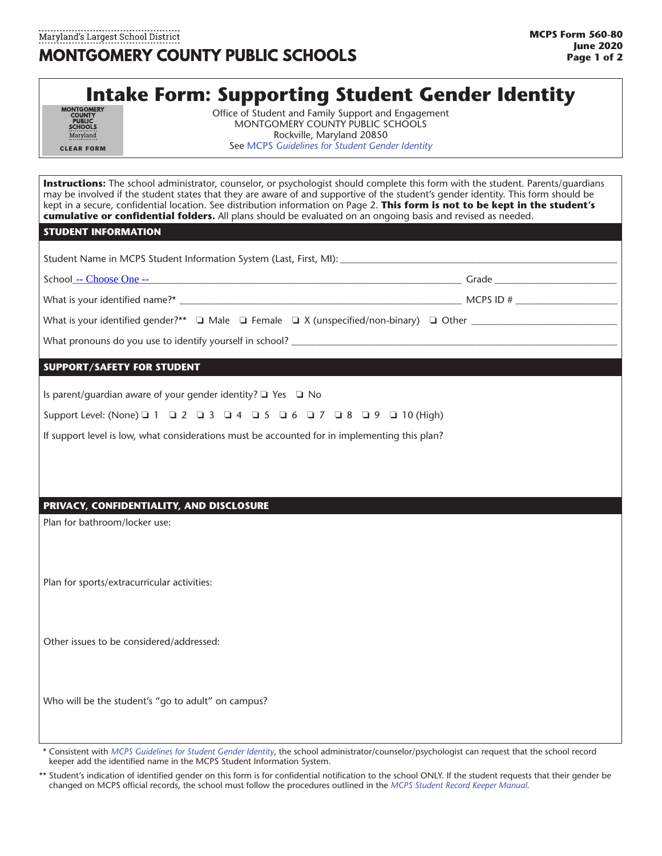# **Intake Form: Supporting Student Gender Identity**

| <b>MONTGOMERY</b><br><b>COUNTY</b><br><b>PUBLIC</b><br><b>SCHOOLS</b><br>Maryland |
|-----------------------------------------------------------------------------------|
| <b>CLEAR FORM</b>                                                                 |

Office of Student and Family Support and Engagement MONTGOMERY COUNTY PUBLIC SCHOOLS Rockville, Maryland 20850 See MCPS *[Guidelines for Student Gender Identity](https://www.montgomeryschoolsmd.org/students/rights/)*

**Instructions:** The school administrator, counselor, or psychologist should complete this form with the student. Parents/guardians may be involved if the student states that they are aware of and supportive of the student's gender identity. This form should be kept in a secure, confidential location. See distribution information on Page 2. **This form is not to be kept in the student's cumulative or confidential folders.** All plans should be evaluated on an ongoing basis and revised as needed.

#### **STUDENT INFORMATION**

| School -- Choose One --           | Grade <b>Contract Contract Contract Contract Contract Contract Contract Contract Contract Contract Contract Contract Contract Contract Contract Contract Contract Contract Contract Contract Contract Contract Contract Contract</b> |  |
|-----------------------------------|--------------------------------------------------------------------------------------------------------------------------------------------------------------------------------------------------------------------------------------|--|
|                                   |                                                                                                                                                                                                                                      |  |
|                                   |                                                                                                                                                                                                                                      |  |
|                                   |                                                                                                                                                                                                                                      |  |
| <b>SUPPORT/SAFETY FOR STUDENT</b> |                                                                                                                                                                                                                                      |  |
|                                   |                                                                                                                                                                                                                                      |  |

Is parent/guardian aware of your gender identity?  $\Box$  Yes  $\Box$  No

Support Level: (None) 0 1 0 2 0 3 0 4 0 5 0 6 0 7 0 8 0 9 0 10 (High)

If support level is low, what considerations must be accounted for in implementing this plan?

## **PRIVACY, CONFIDENTIALITY, AND DISCLOSURE**

Plan for bathroom/locker use:

Plan for sports/extracurricular activities:

Other issues to be considered/addressed:

Who will be the student's "go to adult" on campus?

\*\* Consistent with *[MCPS Guidelines for Student Gender Identity](https://www.montgomeryschoolsmd.org/students/rights/)*, the school administrator/counselor/psychologist can request that the school record keeper add the identified name in [the MCPS Student Information System.](https://www.montgomeryschoolsmd.org/departments/forms/detail.aspx?formNumber=565-1&catID=1&subCatId=25)

Student's indication of identified gender on this form is for confidential notification to the school ONLY. If the student requests that their gender be changed on MCPS official records, the school must follow the procedures outlined in the *[MCPS Student Record Keeper Manual](https://www.montgomeryschoolsmd.org/uploadedFiles/departments/sharedaccountability/StudentRecordKeeperManual.pdf)*.